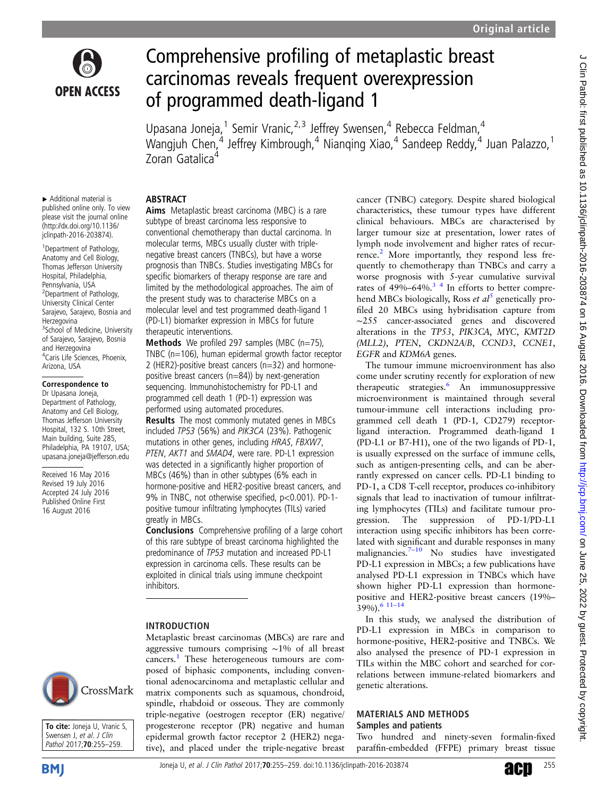

# Comprehensive profiling of metaplastic breast carcinomas reveals frequent overexpression of programmed death-ligand 1

Upasana Joneja,<sup>1</sup> Semir Vranic,<sup>2,3</sup> Jeffrey Swensen,<sup>4</sup> Rebecca Feldman,<sup>4</sup> Wangjuh Chen,<sup>4</sup> Jeffrey Kimbrough,<sup>4</sup> Nianqing Xiao,<sup>4</sup> Sandeep Reddy,<sup>4</sup> Juan Palazzo,<sup>1</sup> Zoran Gatalica<sup>4</sup>

#### ▸ Additional material is published online only. To view please visit the journal online [\(http://dx.doi.org/10.1136/](http://dx.doi.org/10.1136/jclinpath-2016-203874) [jclinpath-2016-203874\)](http://dx.doi.org/10.1136/jclinpath-2016-203874).

<sup>1</sup> Department of Pathology, Anatomy and Cell Biology, Thomas Jefferson University Hospital, Philadelphia, Pennsylvania, USA <sup>2</sup>Department of Pathology, University Clinical Center Sarajevo, Sarajevo, Bosnia and **Herzegovina** <sup>3</sup>School of Medicine, University of Sarajevo, Sarajevo, Bosnia and Herzegovina 4 Caris Life Sciences, Phoenix, Arizona, USA

#### Correspondence to

Dr Upasana Joneja, Department of Pathology, Anatomy and Cell Biology, Thomas Jefferson University Hospital, 132 S. 10th Street, Main building, Suite 285, Philadelphia, PA 19107, USA; upasana.joneja@jefferson.edu

Received 16 May 2016 Revised 19 July 2016 Accepted 24 July 2016 Published Online First 16 August 2016

## ABSTRACT

Aims Metaplastic breast carcinoma (MBC) is a rare subtype of breast carcinoma less responsive to conventional chemotherapy than ductal carcinoma. In molecular terms, MBCs usually cluster with triplenegative breast cancers (TNBCs), but have a worse prognosis than TNBCs. Studies investigating MBCs for specific biomarkers of therapy response are rare and limited by the methodological approaches. The aim of the present study was to characterise MBCs on a molecular level and test programmed death-ligand 1 (PD-L1) biomarker expression in MBCs for future therapeutic interventions.

**Methods** We profiled 297 samples (MBC ( $n=75$ ), TNBC (n=106), human epidermal growth factor receptor 2 (HER2)-positive breast cancers (n=32) and hormonepositive breast cancers (n=84)) by next-generation sequencing. Immunohistochemistry for PD-L1 and programmed cell death 1 (PD-1) expression was performed using automated procedures.

Results The most commonly mutated genes in MBCs included TP53 (56%) and PIK3CA (23%). Pathogenic mutations in other genes, including HRAS, FBXW7, PTEN, AKT1 and SMAD4, were rare. PD-L1 expression was detected in a significantly higher proportion of MBCs (46%) than in other subtypes (6% each in hormone-positive and HER2-positive breast cancers, and 9% in TNBC, not otherwise specified, p<0.001). PD-1 positive tumour infiltrating lymphocytes (TILs) varied greatly in MBCs.

Conclusions Comprehensive profiling of a large cohort of this rare subtype of breast carcinoma highlighted the predominance of TP53 mutation and increased PD-L1 expression in carcinoma cells. These results can be exploited in clinical trials using immune checkpoint inhibitors.

Metaplastic breast carcinomas (MBCs) are rare and aggressive tumours comprising ∼1% of all breast cancers.[1](#page-4-0) These heterogeneous tumours are composed of biphasic components, including conventional adenocarcinoma and metaplastic cellular and matrix components such as squamous, chondroid, spindle, rhabdoid or osseous. They are commonly triple-negative (oestrogen receptor (ER) negative/ progesterone receptor (PR) negative and human epidermal growth factor receptor 2 (HER2) negative), and placed under the triple-negative breast

### INTRODUCTION

CrossMark



Joneja U, et al. J Clin Pathol 2017;**70**:255–259. doi:10.1136/jclinpath-2016-203874 **2008** 255



cancer (TNBC) category. Despite shared biological characteristics, these tumour types have different clinical behaviours. MBCs are characterised by larger tumour size at presentation, lower rates of lymph node involvement and higher rates of recur-rence.<sup>[2](#page-4-0)</sup> More importantly, they respond less frequently to chemotherapy than TNBCs and carry a worse prognosis with 5-year cumulative survival rates of  $49\% - 64\%$ .<sup>3</sup> <sup>4</sup> In efforts to better comprehend MBCs biologically, Ross et  $al^5$  $al^5$  genetically profiled 20 MBCs using hybridisation capture from ∼255 cancer-associated genes and discovered alterations in the TP53, PIK3CA, MYC, KMT2D (MLL2), PTEN, CKDN2A/B, CCND3, CCNE1, EGFR and KDM6A genes.

The tumour immune microenvironment has also come under scrutiny recently for exploration of new therapeutic strategies.<sup>[6](#page-4-0)</sup> An immunosuppressive microenvironment is maintained through several tumour-immune cell interactions including programmed cell death 1 (PD-1, CD279) receptorligand interaction. Programmed death-ligand 1 (PD-L1 or B7-H1), one of the two ligands of PD-1, is usually expressed on the surface of immune cells, such as antigen-presenting cells, and can be aberrantly expressed on cancer cells. PD-L1 binding to PD-1, a CD8 T-cell receptor, produces co-inhibitory signals that lead to inactivation of tumour infiltrating lymphocytes (TILs) and facilitate tumour progression. The suppression of PD-1/PD-L1 interaction using specific inhibitors has been correlated with significant and durable responses in many malignancies. $7-10$  $7-10$  No studies have investigated PD-L1 expression in MBCs; a few publications have analysed PD-L1 expression in TNBCs which have shown higher PD-L1 expression than hormonepositive and HER2-positive breast cancers (19%– 39%).[6 11](#page-4-0)–<sup>14</sup>

In this study, we analysed the distribution of PD-L1 expression in MBCs in comparison to hormone-positive, HER2-positive and TNBCs. We also analysed the presence of PD-1 expression in TILs within the MBC cohort and searched for correlations between immune-related biomarkers and genetic alterations.

#### MATERIALS AND METHODS Samples and patients

Two hundred and ninety-seven formalin-fixed paraffin-embedded (FFPE) primary breast tissue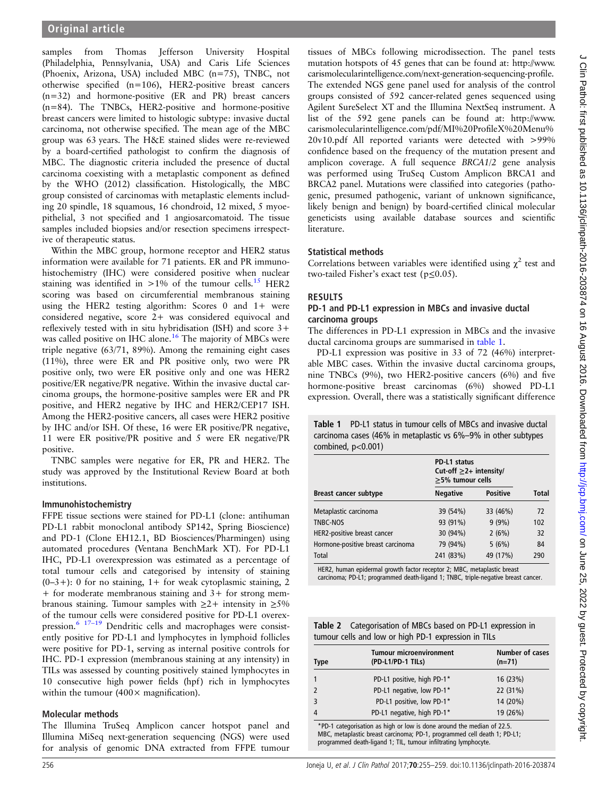<span id="page-1-0"></span>samples from Thomas Jefferson University Hospital (Philadelphia, Pennsylvania, USA) and Caris Life Sciences (Phoenix, Arizona, USA) included MBC (n=75), TNBC, not otherwise specified (n=106), HER2-positive breast cancers (n=32) and hormone-positive (ER and PR) breast cancers (n=84). The TNBCs, HER2-positive and hormone-positive breast cancers were limited to histologic subtype: invasive ductal carcinoma, not otherwise specified. The mean age of the MBC group was 63 years. The H&E stained slides were re-reviewed by a board-certified pathologist to confirm the diagnosis of MBC. The diagnostic criteria included the presence of ductal carcinoma coexisting with a metaplastic component as defined by the WHO (2012) classification. Histologically, the MBC group consisted of carcinomas with metaplastic elements including 20 spindle, 18 squamous, 16 chondroid, 12 mixed, 5 myoepithelial, 3 not specified and 1 angiosarcomatoid. The tissue samples included biopsies and/or resection specimens irrespective of therapeutic status.

Within the MBC group, hormone receptor and HER2 status information were available for 71 patients. ER and PR immunohistochemistry (IHC) were considered positive when nuclear staining was identified in  $>1\%$  of the tumour cells.<sup>15</sup> HER2 scoring was based on circumferential membranous staining using the HER2 testing algorithm: Scores 0 and 1+ were considered negative, score 2+ was considered equivocal and reflexively tested with in situ hybridisation (ISH) and score 3+ was called positive on IHC alone.<sup>[16](#page-4-0)</sup> The majority of MBCs were triple negative (63/71, 89%). Among the remaining eight cases (11%), three were ER and PR positive only, two were PR positive only, two were ER positive only and one was HER2 positive/ER negative/PR negative. Within the invasive ductal carcinoma groups, the hormone-positive samples were ER and PR positive, and HER2 negative by IHC and HER2/CEP17 ISH. Among the HER2-positive cancers, all cases were HER2 positive by IHC and/or ISH. Of these, 16 were ER positive/PR negative, 11 were ER positive/PR positive and 5 were ER negative/PR positive.

TNBC samples were negative for ER, PR and HER2. The study was approved by the Institutional Review Board at both institutions.

#### Immunohistochemistry

FFPE tissue sections were stained for PD-L1 (clone: antihuman PD-L1 rabbit monoclonal antibody SP142, Spring Bioscience) and PD-1 (Clone EH12.1, BD Biosciences/Pharmingen) using automated procedures (Ventana BenchMark XT). For PD-L1 IHC, PD-L1 overexpression was estimated as a percentage of total tumour cells and categorised by intensity of staining  $(0-3+)$ : 0 for no staining, 1+ for weak cytoplasmic staining, 2 + for moderate membranous staining and 3+ for strong membranous staining. Tumour samples with  $\geq 2+$  intensity in  $\geq 5\%$ of the tumour cells were considered positive for PD-L1 overex-pression.<sup>[6](#page-4-0)</sup> <sup>17-[19](#page-4-0)</sup> Dendritic cells and macrophages were consistently positive for PD-L1 and lymphocytes in lymphoid follicles were positive for PD-1, serving as internal positive controls for IHC. PD-1 expression (membranous staining at any intensity) in TILs was assessed by counting positively stained lymphocytes in 10 consecutive high power fields (hpf) rich in lymphocytes within the tumour  $(400 \times$  magnification).

#### Molecular methods

The Illumina TruSeq Amplicon cancer hotspot panel and Illumina MiSeq next-generation sequencing (NGS) were used for analysis of genomic DNA extracted from FFPE tumour

tissues of MBCs following microdissection. The panel tests mutation hotspots of 45 genes that can be found at: [http://www.](http://www.carismolecularintelligence.com/next-generation-sequencing-profile) [carismolecularintelligence.com/next-generation-sequencing-pro](http://www.carismolecularintelligence.com/next-generation-sequencing-profile)file. The extended NGS gene panel used for analysis of the control groups consisted of 592 cancer-related genes sequenced using Agilent SureSelect XT and the Illumina NextSeq instrument. A list of the 592 gene panels can be found at: [http://www.](http://www.carismolecularintelligence.com/pdf/MI%20ProfileX%20Menu%20v10.pdf) [carismolecularintelligence.com/pdf/MI%20Pro](http://www.carismolecularintelligence.com/pdf/MI%20ProfileX%20Menu%20v10.pdf)fileX%20Menu% [20v10.pdf](http://www.carismolecularintelligence.com/pdf/MI%20ProfileX%20Menu%20v10.pdf) All reported variants were detected with >99% confidence based on the frequency of the mutation present and amplicon coverage. A full sequence BRCA1/2 gene analysis was performed using TruSeq Custom Amplicon BRCA1 and BRCA2 panel. Mutations were classified into categories (pathogenic, presumed pathogenic, variant of unknown significance, likely benign and benign) by board-certified clinical molecular geneticists using available database sources and scientific literature.

#### Statistical methods

Correlations between variables were identified using  $\chi^2$  test and two-tailed Fisher's exact test (p≤0.05).

#### RESULTS

#### PD-1 and PD-L1 expression in MBCs and invasive ductal carcinoma groups

The differences in PD-L1 expression in MBCs and the invasive ductal carcinoma groups are summarised in table 1.

PD-L1 expression was positive in 33 of 72 (46%) interpretable MBC cases. Within the invasive ductal carcinoma groups, nine TNBCs (9%), two HER2-positive cancers (6%) and five hormone-positive breast carcinomas (6%) showed PD-L1 expression. Overall, there was a statistically significant difference

Table 1 PD-L1 status in tumour cells of MBCs and invasive ductal carcinoma cases (46% in metaplastic vs 6%–9% in other subtypes combined, p<0.001)

|                                   | PD-L1 status<br>Cut-off $\geq$ 2+ intensity/<br>$\geq$ 5% tumour cells |                 |       |
|-----------------------------------|------------------------------------------------------------------------|-----------------|-------|
|                                   |                                                                        |                 |       |
| Breast cancer subtype             | <b>Negative</b>                                                        | <b>Positive</b> | Total |
| Metaplastic carcinoma             | 39 (54%)                                                               | 33 (46%)        | 72    |
| TNBC-NOS                          | 93 (91%)                                                               | $9(9\%)$        | 102   |
| HER2-positive breast cancer       | 30 (94%)                                                               | 2(6%)           | 32    |
| Hormone-positive breast carcinoma | 79 (94%)                                                               | 5(6%)           | 84    |
| Total                             | 241 (83%)                                                              | 49 (17%)        | 290   |

HER2, human epidermal growth factor receptor 2; MBC, metaplastic breast carcinoma; PD-L1; programmed death-ligand 1; TNBC, triple-negative breast cancer.

| <b>Table 2</b> Categorisation of MBCs based on PD-L1 expression in |
|--------------------------------------------------------------------|
| tumour cells and low or high PD-1 expression in TILs               |

| <b>Type</b> | <b>Tumour microenvironment</b><br>(PD-L1/PD-1 TILs) | Number of cases<br>$(n=71)$ |
|-------------|-----------------------------------------------------|-----------------------------|
|             | PD-L1 positive, high PD-1*                          | 16 (23%)                    |
|             | PD-L1 negative, low PD-1*                           | 22 (31%)                    |
|             | PD-L1 positive, low PD-1*                           | 14 (20%)                    |
| 4           | PD-L1 negative, high PD-1*                          | 19 (26%)                    |
|             |                                                     |                             |

PD-1 categorisation as high or low is done around the median of 22.5 MBC, metaplastic breast carcinoma; PD-1, programmed cell death 1; PD-L1; programmed death-ligand 1; TIL, tumour infiltrating lymphocyte.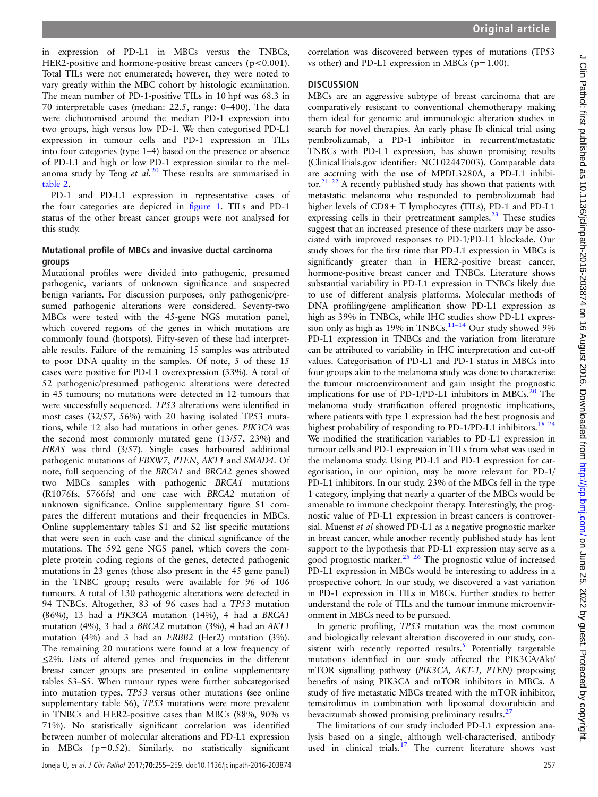in expression of PD-L1 in MBCs versus the TNBCs, HER2-positive and hormone-positive breast cancers (p<0.001). Total TILs were not enumerated; however, they were noted to vary greatly within the MBC cohort by histologic examination. The mean number of PD-1-positive TILs in 10 hpf was 68.3 in 70 interpretable cases (median: 22.5, range: 0–400). The data were dichotomised around the median PD-1 expression into two groups, high versus low PD-1. We then categorised PD-L1 expression in tumour cells and PD-1 expression in TILs into four categories (type 1–4) based on the presence or absence of PD-L1 and high or low PD-1 expression similar to the melanoma study by Teng et  $al^{20}$  $al^{20}$  $al^{20}$ . These results are summarised in [table 2.](#page-1-0)

PD-1 and PD-L1 expression in representative cases of the four categories are depicted in fi[gure 1.](#page-3-0) TILs and PD-1 status of the other breast cancer groups were not analysed for this study.

#### Mutational profile of MBCs and invasive ductal carcinoma groups

Mutational profiles were divided into pathogenic, presumed pathogenic, variants of unknown significance and suspected benign variants. For discussion purposes, only pathogenic/presumed pathogenic alterations were considered. Seventy-two MBCs were tested with the 45-gene NGS mutation panel, which covered regions of the genes in which mutations are commonly found (hotspots). Fifty-seven of these had interpretable results. Failure of the remaining 15 samples was attributed to poor DNA quality in the samples. Of note, 5 of these 15 cases were positive for PD-L1 overexpression (33%). A total of 52 pathogenic/presumed pathogenic alterations were detected in 45 tumours; no mutations were detected in 12 tumours that were successfully sequenced. TP53 alterations were identified in most cases (32/57, 56%) with 20 having isolated TP53 mutations, while 12 also had mutations in other genes. PIK3CA was the second most commonly mutated gene (13/57, 23%) and HRAS was third (3/57). Single cases harboured additional pathogenic mutations of FBXW7, PTEN, AKT1 and SMAD4. Of note, full sequencing of the BRCA1 and BRCA2 genes showed two MBCs samples with pathogenic BRCA1 mutations (R1076fs, S766fs) and one case with BRCA2 mutation of unknown significance. Online [supplementary](http://dx.doi.org/10.1136/jclinpath-2016-203874) figure S1 compares the different mutations and their frequencies in MBCs. Online supplementary tables S1 and S2 list specific mutations that were seen in each case and the clinical significance of the mutations. The 592 gene NGS panel, which covers the complete protein coding regions of the genes, detected pathogenic mutations in 23 genes (those also present in the 45 gene panel) in the TNBC group; results were available for 96 of 106 tumours. A total of 130 pathogenic alterations were detected in 94 TNBCs. Altogether, 83 of 96 cases had a TP53 mutation (86%), 13 had a PIK3CA mutation (14%), 4 had a BRCA1 mutation (4%), 3 had a BRCA2 mutation (3%), 4 had an AKT1 mutation (4%) and 3 had an ERBB2 (Her2) mutation (3%). The remaining 20 mutations were found at a low frequency of ≤2%. Lists of altered genes and frequencies in the different breast cancer groups are presented in online supplementary tables S3–S5. When tumour types were further subcategorised into mutation types, TP53 versus other mutations (see online [supplementary table](http://dx.doi.org/10.1136/jclinpath-2016-203874) S6), TP53 mutations were more prevalent in TNBCs and HER2-positive cases than MBCs (88%, 90% vs 71%). No statistically significant correlation was identified between number of molecular alterations and PD-L1 expression in MBCs (p=0.52). Similarly, no statistically significant correlation was discovered between types of mutations (TP53 vs other) and PD-L1 expression in MBCs ( $p=1.00$ ).

#### **DISCUSSION**

MBCs are an aggressive subtype of breast carcinoma that are comparatively resistant to conventional chemotherapy making them ideal for genomic and immunologic alteration studies in search for novel therapies. An early phase Ib clinical trial using pembrolizumab, a PD-1 inhibitor in recurrent/metastatic TNBCs with PD-L1 expression, has shown promising results (ClinicalTrials.gov identifier: NCT02447003). Comparable data are accruing with the use of MPDL3280A, a PD-L1 inhibitor.[21 22](#page-4-0) A recently published study has shown that patients with metastatic melanoma who responded to pembrolizumab had higher levels of CD8+ T lymphocytes (TILs), PD-1 and PD-L1 expressing cells in their pretreatment samples. $^{23}$  $^{23}$  $^{23}$  These studies suggest that an increased presence of these markers may be associated with improved responses to PD-1/PD-L1 blockade. Our study shows for the first time that PD-L1 expression in MBCs is significantly greater than in HER2-positive breast cancer, hormone-positive breast cancer and TNBCs. Literature shows substantial variability in PD-L1 expression in TNBCs likely due to use of different analysis platforms. Molecular methods of DNA profiling/gene amplification show PD-L1 expression as high as 39% in TNBCs, while IHC studies show PD-L1 expres-sion only as high as 19% in TNBCs.<sup>[11](#page-4-0)-14</sup> Our study showed 9% PD-L1 expression in TNBCs and the variation from literature can be attributed to variability in IHC interpretation and cut-off values. Categorisation of PD-L1 and PD-1 status in MBCs into four groups akin to the melanoma study was done to characterise the tumour microenvironment and gain insight the prognostic implications for use of PD-1/PD-L1 inhibitors in MBCs. $^{20}$  The melanoma study stratification offered prognostic implications, where patients with type 1 expression had the best prognosis and highest probability of responding to PD-1/PD-L1 inhibitors.<sup>[18 24](#page-4-0)</sup> We modified the stratification variables to PD-L1 expression in tumour cells and PD-1 expression in TILs from what was used in the melanoma study. Using PD-L1 and PD-1 expression for categorisation, in our opinion, may be more relevant for PD-1/ PD-L1 inhibitors. In our study, 23% of the MBCs fell in the type 1 category, implying that nearly a quarter of the MBCs would be amenable to immune checkpoint therapy. Interestingly, the prognostic value of PD-L1 expression in breast cancers is controversial. Muenst et al showed PD-L1 as a negative prognostic marker in breast cancer, while another recently published study has lent support to the hypothesis that PD-L1 expression may serve as a good prognostic marker.<sup>[25 26](#page-4-0)</sup> The prognostic value of increased PD-L1 expression in MBCs would be interesting to address in a prospective cohort. In our study, we discovered a vast variation in PD-1 expression in TILs in MBCs. Further studies to better understand the role of TILs and the tumour immune microenvironment in MBCs need to be pursued.

In genetic profiling, TP53 mutation was the most common and biologically relevant alteration discovered in our study, consistent with recently reported results. $5$  Potentially targetable mutations identified in our study affected the PIK3CA/Akt/ mTOR signalling pathway (PIK3CA, AKT-1, PTEN) proposing benefits of using PIK3CA and mTOR inhibitors in MBCs. A study of five metastatic MBCs treated with the mTOR inhibitor, temsirolimus in combination with liposomal doxorubicin and bevacizumab showed promising preliminary results.<sup>27</sup>

The limitations of our study included PD-L1 expression analysis based on a single, although well-characterised, antibody used in clinical trials.<sup>[17](#page-4-0)</sup> The current literature shows vast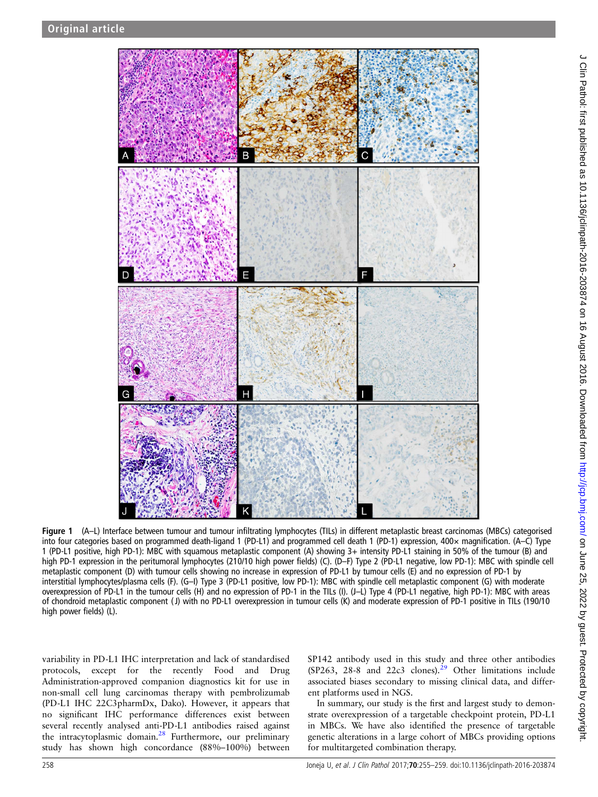<span id="page-3-0"></span>

Figure 1 (A–L) Interface between tumour and tumour infiltrating lymphocytes (TILs) in different metaplastic breast carcinomas (MBCs) categorised into four categories based on programmed death-ligand 1 (PD-L1) and programmed cell death 1 (PD-1) expression, 400× magnification. (A–C) Type 1 (PD-L1 positive, high PD-1): MBC with squamous metaplastic component (A) showing 3+ intensity PD-L1 staining in 50% of the tumour (B) and high PD-1 expression in the peritumoral lymphocytes (210/10 high power fields) (C). (D–F) Type 2 (PD-L1 negative, low PD-1): MBC with spindle cell metaplastic component (D) with tumour cells showing no increase in expression of PD-L1 by tumour cells (E) and no expression of PD-1 by interstitial lymphocytes/plasma cells (F). (G–I) Type 3 (PD-L1 positive, low PD-1): MBC with spindle cell metaplastic component (G) with moderate overexpression of PD-L1 in the tumour cells (H) and no expression of PD-1 in the TILs (I). (J–L) Type 4 (PD-L1 negative, high PD-1): MBC with areas of chondroid metaplastic component ( J) with no PD-L1 overexpression in tumour cells (K) and moderate expression of PD-1 positive in TILs (190/10 high power fields) (L).

variability in PD-L1 IHC interpretation and lack of standardised protocols, except for the recently Food and Drug Administration-approved companion diagnostics kit for use in non-small cell lung carcinomas therapy with pembrolizumab (PD-L1 IHC 22C3pharmDx, Dako). However, it appears that no significant IHC performance differences exist between several recently analysed anti-PD-L1 antibodies raised against the intracytoplasmic domain.<sup>[28](#page-4-0)</sup> Furthermore, our preliminary study has shown high concordance (88%–100%) between

SP142 antibody used in this study and three other antibodies  $(SP263, 28-8$  and  $22c3$  clones).<sup>29</sup> Other limitations include associated biases secondary to missing clinical data, and different platforms used in NGS.

In summary, our study is the first and largest study to demonstrate overexpression of a targetable checkpoint protein, PD-L1 in MBCs. We have also identified the presence of targetable genetic alterations in a large cohort of MBCs providing options for multitargeted combination therapy.